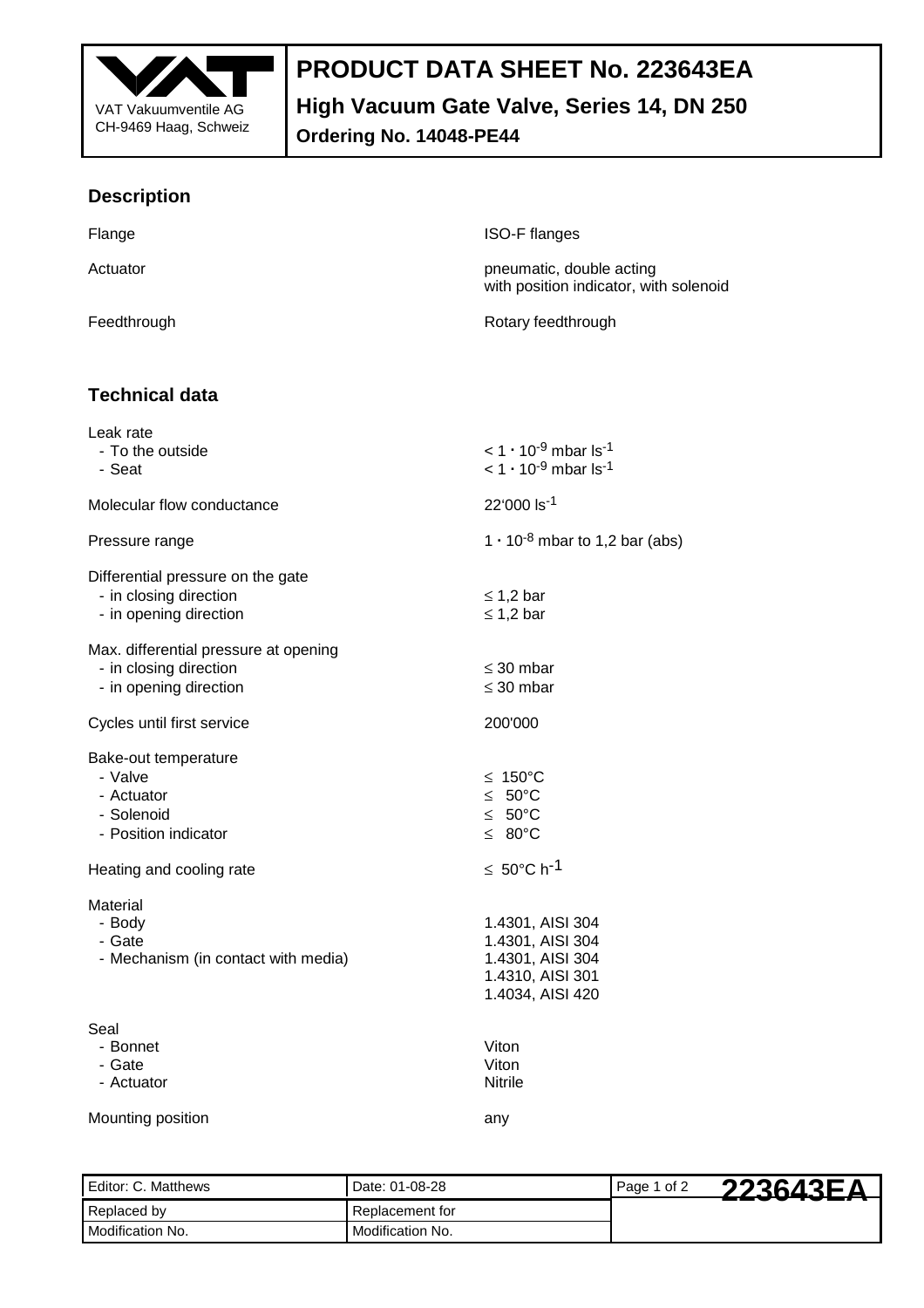

## **PRODUCT DATA SHEET No. 223643EA**

**High Vacuum Gate Valve, Series 14, DN 250** 

**Ordering No. 14048-PE44** 

## **Description**

| Flange                                                                                    | ISO-F flanges                                                                                                |  |
|-------------------------------------------------------------------------------------------|--------------------------------------------------------------------------------------------------------------|--|
| Actuator                                                                                  | pneumatic, double acting<br>with position indicator, with solenoid                                           |  |
| Feedthrough                                                                               | Rotary feedthrough                                                                                           |  |
|                                                                                           |                                                                                                              |  |
| <b>Technical data</b>                                                                     |                                                                                                              |  |
| Leak rate<br>- To the outside<br>- Seat                                                   | $<$ 1 $\cdot$ 10 <sup>-9</sup> mbar ls <sup>-1</sup><br>$<$ 1 $\cdot$ 10 <sup>-9</sup> mbar ls <sup>-1</sup> |  |
| Molecular flow conductance                                                                | 22'000 ls-1                                                                                                  |  |
| Pressure range                                                                            | 1 $\cdot$ 10 <sup>-8</sup> mbar to 1,2 bar (abs)                                                             |  |
| Differential pressure on the gate<br>- in closing direction<br>- in opening direction     | $\leq$ 1,2 bar<br>$\leq$ 1,2 bar                                                                             |  |
| Max. differential pressure at opening<br>- in closing direction<br>- in opening direction | $\leq$ 30 mbar<br>$\leq$ 30 mbar                                                                             |  |
| Cycles until first service                                                                | 200'000                                                                                                      |  |
| Bake-out temperature<br>- Valve<br>- Actuator<br>- Solenoid<br>- Position indicator       | ≤ 150 $°C$<br>≤ $50^{\circ}$ C<br>$≤ 50°C$<br>≤ 80 $°C$                                                      |  |
| Heating and cooling rate                                                                  | $\leq 50^{\circ}$ C h <sup>-1</sup>                                                                          |  |
| Material<br>- Body<br>- Gate<br>- Mechanism (in contact with media)                       | 1.4301, AISI 304<br>1.4301, AISI 304<br>1.4301, AISI 304<br>1.4310, AISI 301<br>1.4034, AISI 420             |  |
| Seal<br>- Bonnet<br>- Gate<br>- Actuator                                                  | Viton<br>Viton<br><b>Nitrile</b>                                                                             |  |
| Mounting position                                                                         | any                                                                                                          |  |

Editor: C. Matthews Date: 01-08-28 Page 1 of 2 Replaced by Replacement for Modification No. Modification No. **223643EA**